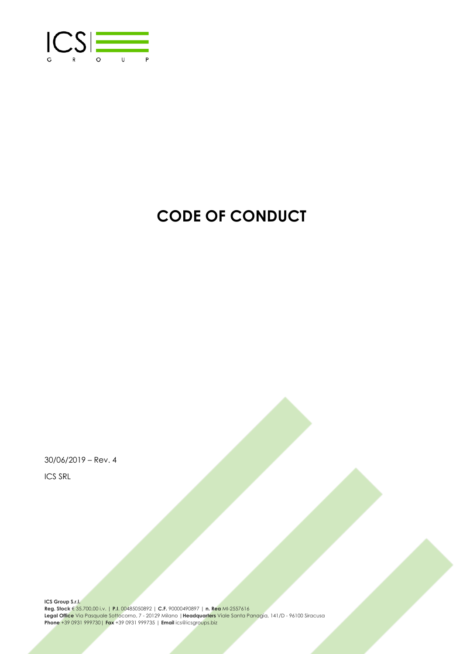

# **CODE OF CONDUCT**

30/06/2019 – Rev. 4 ICS SRL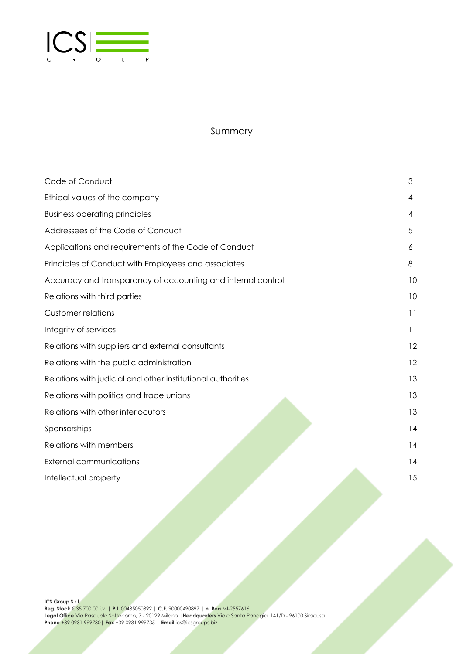

## Summary

| Code of Conduct                                              | 3  |
|--------------------------------------------------------------|----|
| Ethical values of the company                                | 4  |
| <b>Business operating principles</b>                         | 4  |
| Addressees of the Code of Conduct                            | 5  |
| Applications and requirements of the Code of Conduct         | 6  |
| Principles of Conduct with Employees and associates          | 8  |
| Accuracy and transparancy of accounting and internal control | 10 |
| Relations with third parties                                 | 10 |
| <b>Customer relations</b>                                    | 11 |
| Integrity of services                                        | 11 |
| Relations with suppliers and external consultants            | 12 |
| Relations with the public administration                     | 12 |
| Relations with judicial and other institutional authorities  | 13 |
| Relations with politics and trade unions                     | 13 |
| Relations with other interlocutors                           | 13 |
| Sponsorships                                                 | 14 |
| Relations with members                                       | 14 |
| <b>External communications</b>                               | 14 |
| Intellectual property                                        | 15 |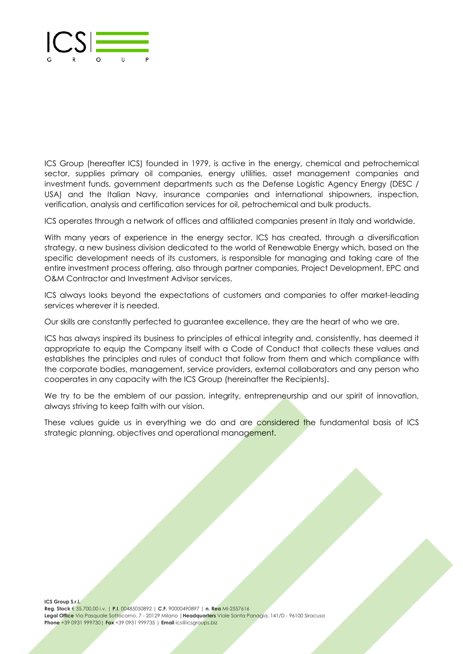

ICS Group (hereafter ICS) founded in 1979, is active in the energy, chemical and petrochemical sector, supplies primary oil companies, energy utilities, asset management companies and investment funds, government departments such as the Defense Logistic Agency Energy (DESC / USA) and the Italian Navy, insurance companies and international shipowners, inspection, verification, analysis and certification services for oil, petrochemical and bulk products.

ICS operates through a network of offices and affiliated companies present in Italy and worldwide.

With many years of experience in the energy sector, ICS has created, through a diversification strategy, a new business division dedicated to the world of Renewable Energy which, based on the specific development needs of its customers, is responsible for managing and taking care of the entire investment process offering, also through partner companies, Project Development, EPC and O&M Contractor and Investment Advisor services.

ICS always looks beyond the expectations of customers and companies to offer market-leading services wherever it is needed.

Our skills are constantly perfected to guarantee excellence, they are the heart of who we are.

ICS has always inspired its business to principles of ethical integrity and, consistently, has deemed it appropriate to equip the Company itself with a Code of Conduct that collects these values and establishes the principles and rules of conduct that follow from them and which compliance with the corporate bodies, management, service providers, external collaborators and any person who cooperates in any capacity with the ICS Group (hereinafter the Recipients).

We try to be the emblem of our passion, integrity, entrepreneurship and our spirit of innovation, always striving to keep faith with our vision.

These values guide us in everything we do and are considered the fundamental basis of ICS strategic planning, objectives and operational management.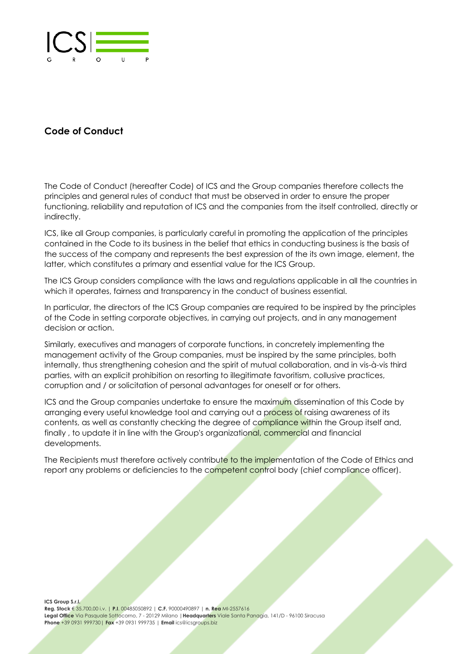

# **Code of Conduct**

The Code of Conduct (hereafter Code) of ICS and the Group companies therefore collects the principles and general rules of conduct that must be observed in order to ensure the proper functioning, reliability and reputation of ICS and the companies from the itself controlled, directly or indirectly.

ICS, like all Group companies, is particularly careful in promoting the application of the principles contained in the Code to its business in the belief that ethics in conducting business is the basis of the success of the company and represents the best expression of the its own image, element, the latter, which constitutes a primary and essential value for the ICS Group.

The ICS Group considers compliance with the laws and regulations applicable in all the countries in which it operates, fairness and transparency in the conduct of business essential.

In particular, the directors of the ICS Group companies are required to be inspired by the principles of the Code in setting corporate objectives, in carrying out projects, and in any management decision or action.

Similarly, executives and managers of corporate functions, in concretely implementing the management activity of the Group companies, must be inspired by the same principles, both internally, thus strengthening cohesion and the spirit of mutual collaboration, and in vis-à-vis third parties, with an explicit prohibition on resorting to illegitimate favoritism, collusive practices, corruption and / or solicitation of personal advantages for oneself or for others.

ICS and the Group companies undertake to ensure the maximum dissemination of this Code by arranging every useful knowledge tool and carrying out a process of raising awareness of its contents, as well as constantly checking the degree of compliance within the Group itself and, finally, to update it in line with the Group's organizational, commercial and financial developments.

The Recipients must therefore actively contribute to the implementation of the Code of Ethics and report any problems or deficiencies to the competent control body (chief compliance officer).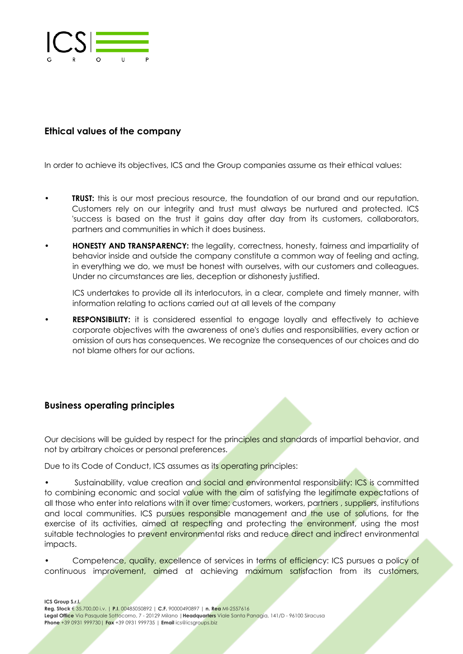

# **Ethical values of the company**

In order to achieve its objectives, ICS and the Group companies assume as their ethical values:

- **TRUST:** this is our most precious resource, the foundation of our brand and our reputation. Customers rely on our integrity and trust must always be nurtured and protected. ICS 'success is based on the trust it gains day after day from its customers, collaborators, partners and communities in which it does business.
- **HONESTY AND TRANSPARENCY:** the legality, correctness, honesty, fairness and impartiality of behavior inside and outside the company constitute a common way of feeling and acting, in everything we do, we must be honest with ourselves, with our customers and colleagues. Under no circumstances are lies, deception or dishonesty justified.

ICS undertakes to provide all its interlocutors, in a clear, complete and timely manner, with information relating to actions carried out at all levels of the company

**RESPONSIBILITY:** it is considered essential to engage loyally and effectively to achieve corporate objectives with the awareness of one's duties and responsibilities, every action or omission of ours has consequences. We recognize the consequences of our choices and do not blame others for our actions.

## **Business operating principles**

Our decisions will be quided by respect for the principles and standards of impartial behavior, and not by arbitrary choices or personal preferences.

Due to its Code of Conduct, ICS assumes as its operating principles:

Sustainability, value creation and social and environmental responsibility: ICS is committed to combining economic and social value with the aim of satisfying the legitimate expectations of all those who enter into relations with it over time: customers, workers, partners, suppliers, institutions and local communities. ICS pursues responsible management and the use of solutions, for the exercise of its activities, aimed at respecting and protecting the environment, using the most suitable technologies to prevent environmental risks and reduce direct and indirect environmental impacts.

Competence, quality, excellence of services in terms of efficiency: ICS pursues a policy of continuous improvement, aimed at achieving maximum satisfaction from its customers,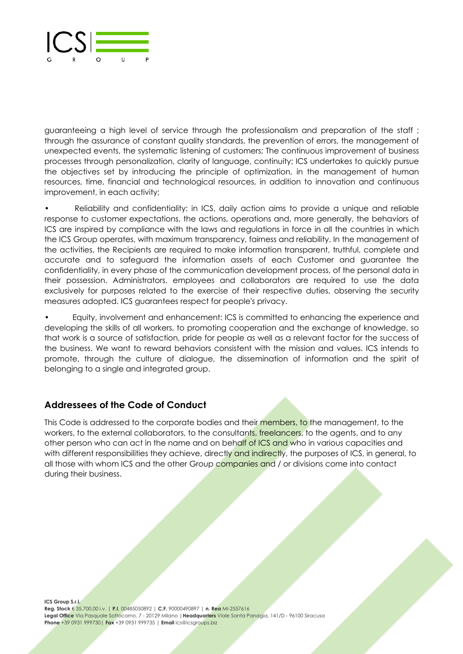

guaranteeing a high level of service through the professionalism and preparation of the staff ; through the assurance of constant quality standards, the prevention of errors, the management of unexpected events, the systematic listening of customers; The continuous improvement of business processes through personalization, clarity of language, continuity; ICS undertakes to quickly pursue the objectives set by introducing the principle of optimization, in the management of human resources, time, financial and technological resources, in addition to innovation and continuous improvement, in each activity;

• Reliability and confidentiality: in ICS, daily action aims to provide a unique and reliable response to customer expectations, the actions, operations and, more generally, the behaviors of ICS are inspired by compliance with the laws and regulations in force in all the countries in which the ICS Group operates, with maximum transparency, fairness and reliability. In the management of the activities, the Recipients are required to make information transparent, truthful, complete and accurate and to safeguard the information assets of each Customer and guarantee the confidentiality, in every phase of the communication development process, of the personal data in their possession. Administrators, employees and collaborators are required to use the data exclusively for purposes related to the exercise of their respective duties, observing the security measures adopted. ICS guarantees respect for people's privacy.

• Equity, involvement and enhancement: ICS is committed to enhancing the experience and developing the skills of all workers, to promoting cooperation and the exchange of knowledge, so that work is a source of satisfaction, pride for people as well as a relevant factor for the success of the business. We want to reward behaviors consistent with the mission and values. ICS intends to promote, through the culture of dialogue, the dissemination of information and the spirit of belonging to a single and integrated group.

# **Addressees of the Code of Conduct**

This Code is addressed to the corporate bodies and their members, to the management, to the workers, to the external collaborators, to the consultants, freelancers, to the agents, and to any other person who can act in the name and on behalf of ICS and who in various capacities and with different responsibilities they achieve, directly and indirectly, the purposes of ICS, in general, to all those with whom ICS and the other Group companies and / or divisions come into contact during their business.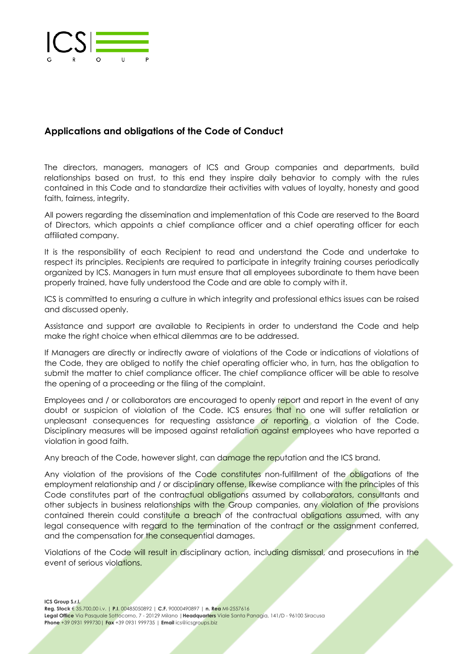

# **Applications and obligations of the Code of Conduct**

The directors, managers, managers of ICS and Group companies and departments, build relationships based on trust, to this end they inspire daily behavior to comply with the rules contained in this Code and to standardize their activities with values of loyalty, honesty and good faith, fairness, integrity.

All powers regarding the dissemination and implementation of this Code are reserved to the Board of Directors, which appoints a chief compliance officer and a chief operating officer for each affiliated company.

It is the responsibility of each Recipient to read and understand the Code and undertake to respect its principles. Recipients are required to participate in integrity training courses periodically organized by ICS. Managers in turn must ensure that all employees subordinate to them have been properly trained, have fully understood the Code and are able to comply with it.

ICS is committed to ensuring a culture in which integrity and professional ethics issues can be raised and discussed openly.

Assistance and support are available to Recipients in order to understand the Code and help make the right choice when ethical dilemmas are to be addressed.

If Managers are directly or indirectly aware of violations of the Code or indications of violations of the Code, they are obliged to notify the chief operating officier who, in turn, has the obligation to submit the matter to chief compliance officer. The chief compliance officer will be able to resolve the opening of a proceeding or the filing of the complaint.

Employees and / or collaborators are encouraged to openly report and report in the event of any doubt or suspicion of violation of the Code. ICS ensures that no one will suffer retaliation or unpleasant consequences for requesting assistance or reporting a violation of the Code. Disciplinary measures will be imposed against retaliation against employees who have reported a violation in good faith.

Any breach of the Code, however slight, can damage the reputation and the ICS brand.

Any violation of the provisions of the Code constitutes non-fulfillment of the obligations of the employment relationship and / or disciplinary offense, likewise compliance with the principles of this Code constitutes part of the contractual obligations assumed by collaborators, consultants and other subjects in business relationships with the Group companies, any violation of the provisions contained therein could constitute a breach of the contractual obligations assumed, with any legal consequence with regard to the termination of the contract or the assignment conferred, and the compensation for the consequential damages.

Violations of the Code will result in disciplinary action, including dismissal, and prosecutions in the event of serious violations.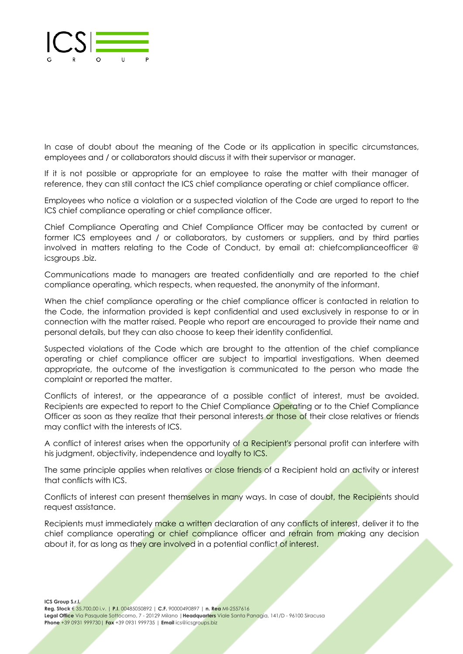

In case of doubt about the meaning of the Code or its application in specific circumstances, employees and / or collaborators should discuss it with their supervisor or manager.

If it is not possible or appropriate for an employee to raise the matter with their manager of reference, they can still contact the ICS chief compliance operating or chief compliance officer.

Employees who notice a violation or a suspected violation of the Code are urged to report to the ICS chief compliance operating or chief compliance officer.

Chief Compliance Operating and Chief Compliance Officer may be contacted by current or former ICS employees and / or collaborators, by customers or suppliers, and by third parties involved in matters relating to the Code of Conduct, by email at: chiefcomplianceofficer @ icsgroups .biz.

Communications made to managers are treated confidentially and are reported to the chief compliance operating, which respects, when requested, the anonymity of the informant.

When the chief compliance operating or the chief compliance officer is contacted in relation to the Code, the information provided is kept confidential and used exclusively in response to or in connection with the matter raised. People who report are encouraged to provide their name and personal details, but they can also choose to keep their identity confidential.

Suspected violations of the Code which are brought to the attention of the chief compliance operating or chief compliance officer are subject to impartial investigations. When deemed appropriate, the outcome of the investigation is communicated to the person who made the complaint or reported the matter.

Conflicts of interest, or the appearance of a possible conflict of interest, must be avoided. Recipients are expected to report to the Chief Compliance Operating or to the Chief Compliance Officer as soon as they realize that their personal interests or those of their close relatives or friends may conflict with the interests of ICS.

A conflict of interest arises when the opportunity of a Recipient's personal profit can interfere with his judgment, objectivity, independence and loyalty to ICS.

The same principle applies when relatives or close friends of a Recipient hold an activity or interest that conflicts with ICS.

Conflicts of interest can present themselves in many ways. In case of doubt, the Recipients should request assistance.

Recipients must immediately make a written declaration of any conflicts of interest, deliver it to the chief compliance operating or chief compliance officer and refrain from making any decision about it, for as long as they are involved in a potential conflict of interest.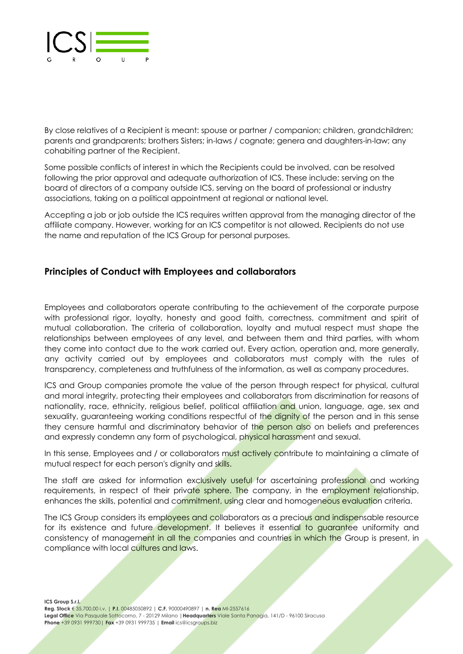

By close relatives of a Recipient is meant: spouse or partner / companion; children, grandchildren; parents and grandparents; brothers Sisters; in-laws / cognate; genera and daughters-in-law; any cohabiting partner of the Recipient.

Some possible conflicts of interest in which the Recipients could be involved, can be resolved following the prior approval and adequate authorization of ICS. These include: serving on the board of directors of a company outside ICS, serving on the board of professional or industry associations, taking on a political appointment at regional or national level.

Accepting a job or job outside the ICS requires written approval from the managing director of the affiliate company. However, working for an ICS competitor is not allowed. Recipients do not use the name and reputation of the ICS Group for personal purposes.

## **Principles of Conduct with Employees and collaborators**

Employees and collaborators operate contributing to the achievement of the corporate purpose with professional rigor, loyalty, honesty and good faith, correctness, commitment and spirit of mutual collaboration. The criteria of collaboration, loyalty and mutual respect must shape the relationships between employees of any level, and between them and third parties, with whom they come into contact due to the work carried out. Every action, operation and, more generally, any activity carried out by employees and collaborators must comply with the rules of transparency, completeness and truthfulness of the information, as well as company procedures.

ICS and Group companies promote the value of the person through respect for physical, cultural and moral integrity, protecting their employees and collaborators from discrimination for reasons of nationality, race, ethnicity, religious belief, political affiliation and union, language, age, sex and sexuality, guaranteeing working conditions respectful of the dignity of the person and in this sense they censure harmful and discriminatory behavior of the person also on beliefs and preferences and expressly condemn any form of psychological, physical harassment and sexual.

In this sense, Employees and / or collaborators must actively contribute to maintaining a climate of mutual respect for each person's dignity and skills.

The staff are asked for information exclusively useful for ascertaining professional and working requirements, in respect of their private sphere. The company, in the employment relationship, enhances the skills, potential and commitment, using clear and homogeneous evaluation criteria.

The ICS Group considers its employees and collaborators as a precious and indispensable resource for its existence and future development. It believes it essential to guarantee uniformity and consistency of management in all the companies and countries in which the Group is present, in compliance with local cultures and laws.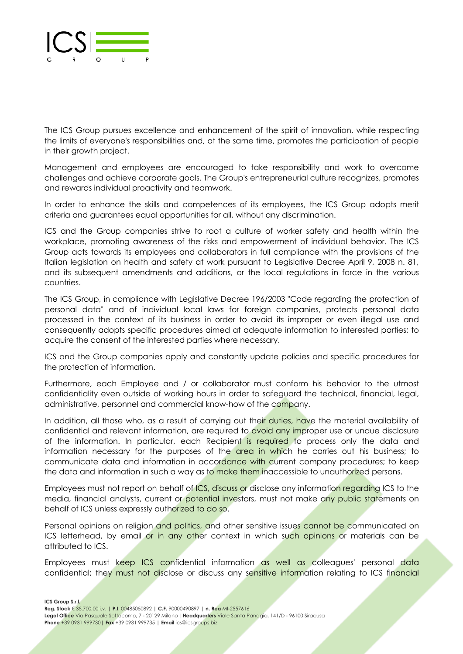

The ICS Group pursues excellence and enhancement of the spirit of innovation, while respecting the limits of everyone's responsibilities and, at the same time, promotes the participation of people in their growth project.

Management and employees are encouraged to take responsibility and work to overcome challenges and achieve corporate goals. The Group's entrepreneurial culture recognizes, promotes and rewards individual proactivity and teamwork.

In order to enhance the skills and competences of its employees, the ICS Group adopts merit criteria and guarantees equal opportunities for all, without any discrimination.

ICS and the Group companies strive to root a culture of worker safety and health within the workplace, promoting awareness of the risks and empowerment of individual behavior. The ICS Group acts towards its employees and collaborators in full compliance with the provisions of the Italian legislation on health and safety at work pursuant to Legislative Decree April 9, 2008 n. 81, and its subsequent amendments and additions, or the local regulations in force in the various countries.

The ICS Group, in compliance with Legislative Decree 196/2003 "Code regarding the protection of personal data" and of individual local laws for foreign companies, protects personal data processed in the context of its business in order to avoid its improper or even illegal use and consequently adopts specific procedures aimed at adequate information to interested parties; to acquire the consent of the interested parties where necessary.

ICS and the Group companies apply and constantly update policies and specific procedures for the protection of information.

Furthermore, each Employee and / or collaborator must conform his behavior to the utmost confidentiality even outside of working hours in order to safeguard the technical, financial, legal, administrative, personnel and commercial know-how of the company.

In addition, all those who, as a result of carrying out their duties, have the material availability of confidential and relevant information, are required to avoid any improper use or undue disclosure of the information. In particular, each Recipient is required to process only the data and information necessary for the purposes of the area in which he carries out his business; to communicate data and information in accordance with current company procedures; to keep the data and information in such a way as to make them inaccessible to unauthorized persons.

Employees must not report on behalf of ICS, discuss or disclose any information regarding ICS to the media, financial analysts, current or potential investors, must not make any public statements on behalf of ICS unless expressly authorized to do so.

Personal opinions on religion and politics, and other sensitive issues cannot be communicated on ICS letterhead, by email or in any other context in which such opinions or materials can be attributed to ICS.

Employees must keep ICS confidential information as well as colleagues' personal data confidential; they must not disclose or discuss any sensitive information relating to ICS financial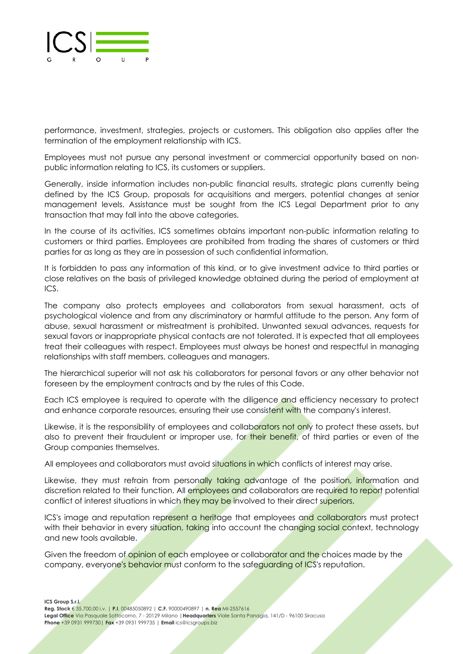

performance, investment, strategies, projects or customers. This obligation also applies after the termination of the employment relationship with ICS.

Employees must not pursue any personal investment or commercial opportunity based on nonpublic information relating to ICS, its customers or suppliers.

Generally, inside information includes non-public financial results, strategic plans currently being defined by the ICS Group, proposals for acquisitions and mergers, potential changes at senior management levels. Assistance must be sought from the ICS Legal Department prior to any transaction that may fall into the above categories.

In the course of its activities, ICS sometimes obtains important non-public information relating to customers or third parties. Employees are prohibited from trading the shares of customers or third parties for as long as they are in possession of such confidential information.

It is forbidden to pass any information of this kind, or to give investment advice to third parties or close relatives on the basis of privileged knowledge obtained during the period of employment at ICS.

The company also protects employees and collaborators from sexual harassment, acts of psychological violence and from any discriminatory or harmful attitude to the person. Any form of abuse, sexual harassment or mistreatment is prohibited. Unwanted sexual advances, requests for sexual favors or inappropriate physical contacts are not tolerated. It is expected that all employees treat their colleagues with respect. Employees must always be honest and respectful in managing relationships with staff members, colleagues and managers.

The hierarchical superior will not ask his collaborators for personal favors or any other behavior not foreseen by the employment contracts and by the rules of this Code.

Each ICS employee is required to operate with the diligence and efficiency necessary to protect and enhance corporate resources, ensuring their use consistent with the company's interest.

Likewise, it is the responsibility of employees and collaborators not only to protect these assets, but also to prevent their fraudulent or improper use, for their benefit, of third parties or even of the Group companies themselves.

All employees and collaborators must avoid situations in which conflicts of interest may arise.

Likewise, they must refrain from personally taking advantage of the position, information and discretion related to their function. All employees and collaborators are required to report potential conflict of interest situations in which they may be involved to their direct superiors.

ICS's image and reputation represent a heritage that employees and collaborators must protect with their behavior in every situation, taking into account the changing social context, technology and new tools available.

Given the freedom of opinion of each employee or collaborator and the choices made by the company, everyone's behavior must conform to the safeguarding of ICS's reputation.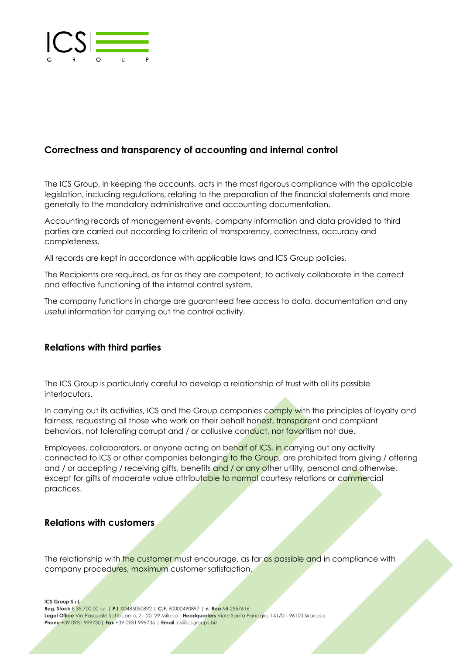

# **Correctness and transparency of accounting and internal control**

The ICS Group, in keeping the accounts, acts in the most rigorous compliance with the applicable legislation, including regulations, relating to the preparation of the financial statements and more generally to the mandatory administrative and accounting documentation.

Accounting records of management events, company information and data provided to third parties are carried out according to criteria of transparency, correctness, accuracy and completeness.

All records are kept in accordance with applicable laws and ICS Group policies.

The Recipients are required, as far as they are competent, to actively collaborate in the correct and effective functioning of the internal control system.

The company functions in charge are guaranteed free access to data, documentation and any useful information for carrying out the control activity.

#### **Relations with third parties**

The ICS Group is particularly careful to develop a relationship of trust with all its possible interlocutors.

In carrying out its activities, ICS and the Group companies comply with the principles of loyalty and fairness, requesting all those who work on their behalf honest, transparent and compliant behaviors, not tolerating corrupt and / or collusive conduct, nor favoritism not due.

Employees, collaborators, or anyone acting on behalf of ICS, in carrying out any activity connected to ICS or other companies belonging to the Group, are prohibited from giving / offering and / or accepting / receiving gifts, benefits and / or any other utility, personal and otherwise, except for gifts of moderate value attributable to normal courtesy relations or commercial practices.

#### **Relations with customers**

The relationship with the customer must encourage, as far as possible and in compliance with company procedures, maximum customer satisfaction.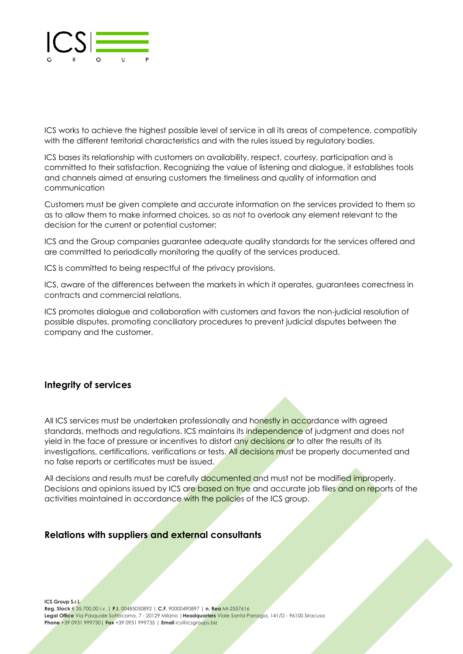

ICS works to achieve the highest possible level of service in all its areas of competence, compatibly with the different territorial characteristics and with the rules issued by regulatory bodies.

ICS bases its relationship with customers on availability, respect, courtesy, participation and is committed to their satisfaction. Recognizing the value of listening and dialogue, it establishes tools and channels aimed at ensuring customers the timeliness and quality of information and communication

Customers must be given complete and accurate information on the services provided to them so as to allow them to make informed choices, so as not to overlook any element relevant to the decision for the current or potential customer;

ICS and the Group companies guarantee adequate quality standards for the services offered and are committed to periodically monitoring the quality of the services produced.

ICS is committed to being respectful of the privacy provisions.

ICS, aware of the differences between the markets in which it operates, guarantees correctness in contracts and commercial relations.

ICS promotes dialogue and collaboration with customers and favors the non-judicial resolution of possible disputes, promoting conciliatory procedures to prevent judicial disputes between the company and the customer.

## **Integrity of services**

All ICS services must be undertaken professionally and honestly in accordance with agreed standards, methods and regulations. ICS maintains its independence of judgment and does not yield in the face of pressure or incentives to distort any decisions or to alter the results of its investigations, certifications, verifications or tests. All decisions must be properly documented and no false reports or certificates must be issued.

All decisions and results must be carefully documented and must not be modified improperly. Decisions and opinions issued by ICS are based on true and accurate job files and on reports of the activities maintained in accordance with the policies of the ICS group.

#### **Relations with suppliers and external consultants**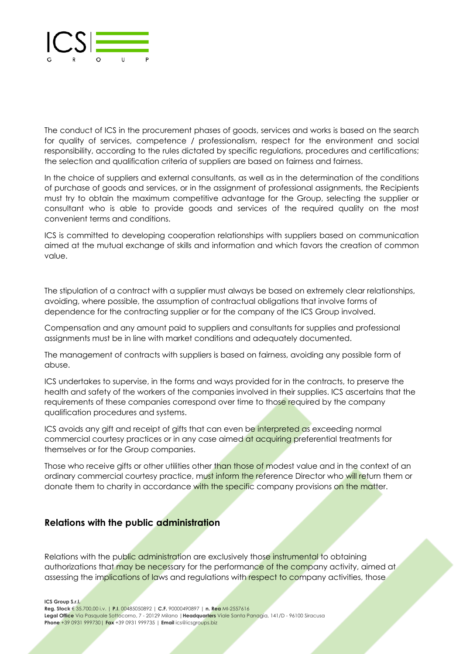

The conduct of ICS in the procurement phases of goods, services and works is based on the search for quality of services, competence / professionalism, respect for the environment and social responsibility, according to the rules dictated by specific regulations, procedures and certifications; the selection and qualification criteria of suppliers are based on fairness and fairness.

In the choice of suppliers and external consultants, as well as in the determination of the conditions of purchase of goods and services, or in the assignment of professional assignments, the Recipients must try to obtain the maximum competitive advantage for the Group, selecting the supplier or consultant who is able to provide goods and services of the required quality on the most convenient terms and conditions.

ICS is committed to developing cooperation relationships with suppliers based on communication aimed at the mutual exchange of skills and information and which favors the creation of common value.

The stipulation of a contract with a supplier must always be based on extremely clear relationships, avoiding, where possible, the assumption of contractual obligations that involve forms of dependence for the contracting supplier or for the company of the ICS Group involved.

Compensation and any amount paid to suppliers and consultants for supplies and professional assignments must be in line with market conditions and adequately documented.

The management of contracts with suppliers is based on fairness, avoiding any possible form of abuse.

ICS undertakes to supervise, in the forms and ways provided for in the contracts, to preserve the health and safety of the workers of the companies involved in their supplies. ICS ascertains that the requirements of these companies correspond over time to those required by the company qualification procedures and systems.

ICS avoids any gift and receipt of gifts that can even be interpreted as exceeding normal commercial courtesy practices or in any case aimed at acquiring preferential treatments for themselves or for the Group companies.

Those who receive gifts or other utilities other than those of modest value and in the context of an ordinary commercial courtesy practice, must inform the reference Director who will return them or donate them to charity in accordance with the specific company provisions on the matter.

#### **Relations with the public administration**

Relations with the public administration are exclusively those instrumental to obtaining authorizations that may be necessary for the performance of the company activity, aimed at assessing the implications of laws and regulations with respect to company activities, those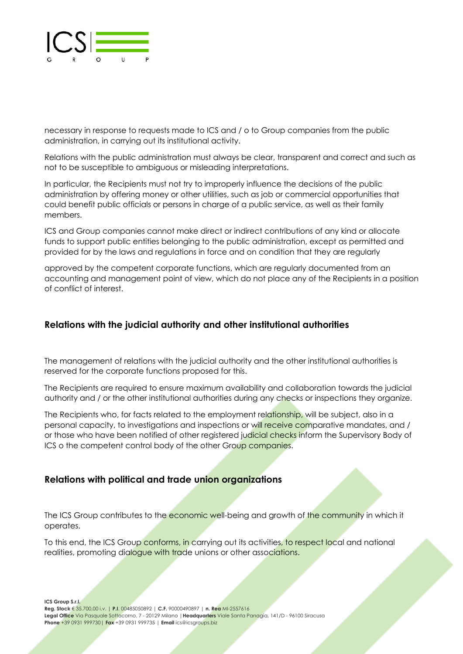

necessary in response to requests made to ICS and / o to Group companies from the public administration, in carrying out its institutional activity.

Relations with the public administration must always be clear, transparent and correct and such as not to be susceptible to ambiguous or misleading interpretations.

In particular, the Recipients must not try to improperly influence the decisions of the public administration by offering money or other utilities, such as job or commercial opportunities that could benefit public officials or persons in charge of a public service, as well as their family members.

ICS and Group companies cannot make direct or indirect contributions of any kind or allocate funds to support public entities belonging to the public administration, except as permitted and provided for by the laws and regulations in force and on condition that they are regularly

approved by the competent corporate functions, which are regularly documented from an accounting and management point of view, which do not place any of the Recipients in a position of conflict of interest.

## **Relations with the judicial authority and other institutional authorities**

The management of relations with the judicial authority and the other institutional authorities is reserved for the corporate functions proposed for this.

The Recipients are required to ensure maximum availability and collaboration towards the judicial authority and / or the other institutional authorities during any checks or inspections they organize.

The Recipients who, for facts related to the employment relationship, will be subject, also in a personal capacity, to investigations and inspections or will receive comparative mandates, and / or those who have been notified of other registered judicial checks inform the Supervisory Body of ICS o the competent control body of the other Group companies.

## **Relations with political and trade union organizations**

The ICS Group contributes to the economic well-being and growth of the community in which it operates.

To this end, the ICS Group conforms, in carrying out its activities, to respect local and national realities, promoting dialogue with trade unions or other associations.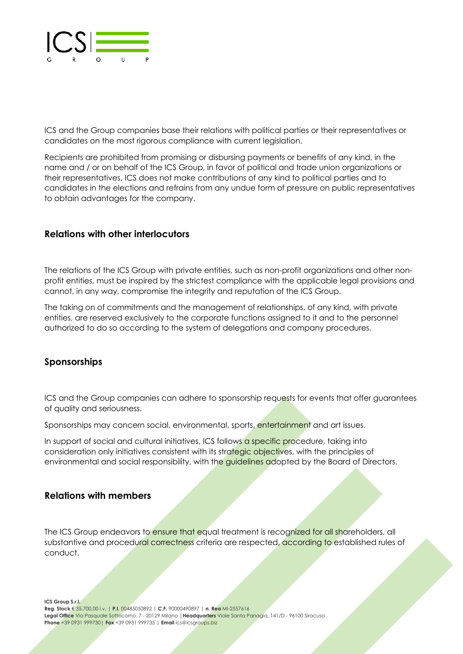

ICS and the Group companies base their relations with political parties or their representatives or candidates on the most rigorous compliance with current legislation.

Recipients are prohibited from promising or disbursing payments or benefits of any kind, in the name and / or on behalf of the ICS Group, in favor of political and trade union organizations or their representatives, ICS does not make contributions of any kind to political parties and to candidates in the elections and refrains from any undue form of pressure on public representatives to obtain advantages for the company.

#### **Relations with other interlocutors**

The relations of the ICS Group with private entities, such as non-profit organizations and other nonprofit entities, must be inspired by the strictest compliance with the applicable legal provisions and cannot, in any way, compromise the integrity and reputation of the ICS Group.

The taking on of commitments and the management of relationships, of any kind, with private entities, are reserved exclusively to the corporate functions assigned to it and to the personnel authorized to do so according to the system of delegations and company procedures.

#### **Sponsorships**

ICS and the Group companies can adhere to sponsorship requests for events that offer guarantees of quality and seriousness.

Sponsorships may concern social, environmental, sports, entertainment and art issues.

In support of social and cultural initiatives, ICS follows a specific procedure, taking into consideration only initiatives consistent with its strategic objectives, with the principles of environmental and social responsibility, with the guidelines adopted by the Board of Directors.

#### **Relations with members**

The ICS Group endeavors to ensure that equal treatment is recognized for all shareholders, all substantive and procedural correctness criteria are respected, according to established rules of conduct.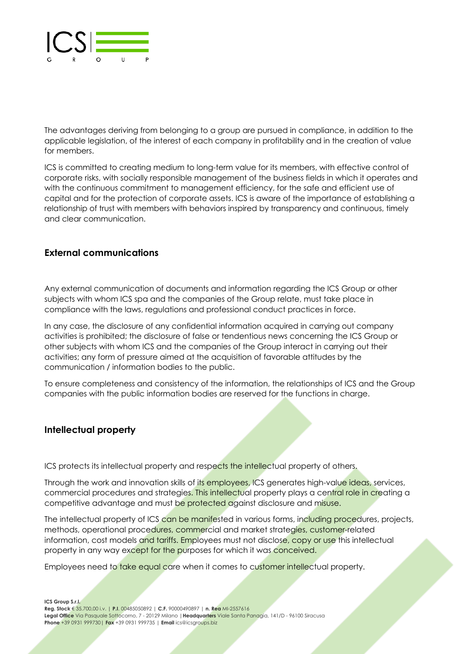

The advantages deriving from belonging to a group are pursued in compliance, in addition to the applicable legislation, of the interest of each company in profitability and in the creation of value for members.

ICS is committed to creating medium to long-term value for its members, with effective control of corporate risks, with socially responsible management of the business fields in which it operates and with the continuous commitment to management efficiency, for the safe and efficient use of capital and for the protection of corporate assets. ICS is aware of the importance of establishing a relationship of trust with members with behaviors inspired by transparency and continuous, timely and clear communication.

## **External communications**

Any external communication of documents and information regarding the ICS Group or other subjects with whom ICS spa and the companies of the Group relate, must take place in compliance with the laws, regulations and professional conduct practices in force.

In any case, the disclosure of any confidential information acquired in carrying out company activities is prohibited; the disclosure of false or tendentious news concerning the ICS Group or other subjects with whom ICS and the companies of the Group interact in carrying out their activities; any form of pressure aimed at the acquisition of favorable attitudes by the communication / information bodies to the public.

To ensure completeness and consistency of the information, the relationships of ICS and the Group companies with the public information bodies are reserved for the functions in charge.

## **Intellectual property**

ICS protects its intellectual property and respects the intellectual property of others.

Through the work and innovation skills of its employees, ICS generates high-value ideas, services, commercial procedures and strategies. This intellectual property plays a central role in creating a competitive advantage and must be protected against disclosure and misuse.

The intellectual property of ICS can be manifested in various forms, including procedures, projects, methods, operational procedures, commercial and market strategies, customer-related information, cost models and tariffs. Employees must not disclose, copy or use this intellectual property in any way except for the purposes for which it was conceived.

Employees need to take equal care when it comes to customer intellectual property.